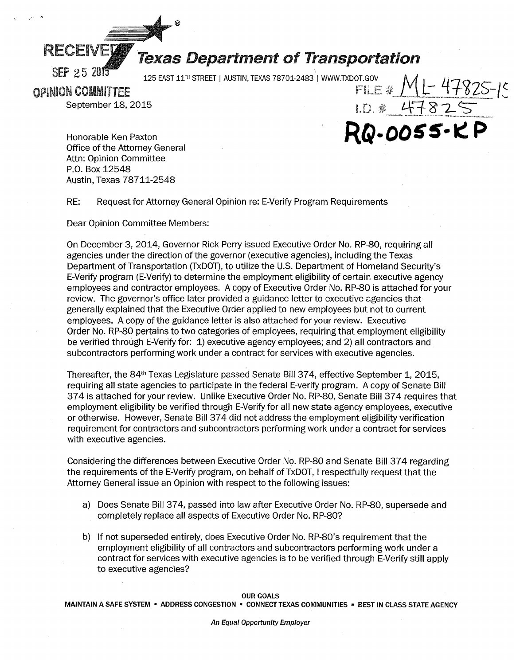

# RECEIVEY Texas Department of Transportation

KQ-0055-KP

OPINION COMMITTEE 125 EAST 11<sup>th</sup> STREET | AUSTIN, TEXAS 78701-2483<sup>'</sup> | www.txdot.gov<br>
FILE # <u>ML</u> - 47825-15

September 18, 2015<br>September 18, 2015

Honorable Ken Paxton Office of the Attorney General Attn: Opinion Committee P.O. Box 12548 Austin, Texas 78711-2548

RE: Request for Attorney General Opinion re: E-Verify Program Requirements

Dear Opinion Committee Members:

On December 3, 2014, Governor Rick Perry issued Executive Order No. RP-80, requiring all agencies under the direction of the governor (executive agencies), including the Texas Department of Transportation (TxDOT), to utilize the U.S. Department of Homeland Security's E-Verify program (E-Verify) to determine the employment eligibility of certain executive agency employees and contractor employees. A copy of Executive Order No. RP-80 is attached for your review. The governor's office later provided a guidance letter to executive agencies that generally explained that the Executive Order applied to new employees but not to current employees. A copy of the guidance letter is also attached for your review. Executive Order No. RP-80 pertains to two categories of employees, requiring that employment eligibility be verified through E-Verify for: 1) executive agency employees; and 2) all contractors and subcontractors performing work under a contract for services with executive agencies.

Thereafter, the 84<sup>th</sup> Texas Legislature passed Senate Bill 374, effective September 1, 2015, requiring all state agencies to participate in the federal E-verify program. A copy of Senate Bill 374 is attached for your review. Unlike Executive Order No. RP-80, Senate Bill 374 requires that employment eligibility be verified through E-Verify for all new state agency employees, executive or otherwise. However, Senate Bill 37 4 did not address the employment eligibility verification requirement for contractors and subcontractors performing work under a contract for services with executive agencies.

Considering the differences between Executive Order No. RP-80 and Senate Bill 37 4 regarding the requirements of the E-Verify program, on behalf of TxDOT, I respectfully request that the Attorney General issue an Opinion with respect to the following issues:

- a) Does Senate Bill 374, passed into law after Executive Order No. RP-80, supersede and completely replace all aspects of Executive Order No. RP-80?
- b) If not superseded entirely, does Executive Order No. RP-80's requirement that the employment eligibility of all contractors and subcontractors performing work under a contract for services with executive agencies is to be verified through E-Verify still apply to executive agencies?

OUR GOALS

MAINTAIN A SAFE SYSTEM • ADDRESS CONGESTION • CONNECT TEXAS COMMUNITIES • BEST IN CLASS STATE AGENCY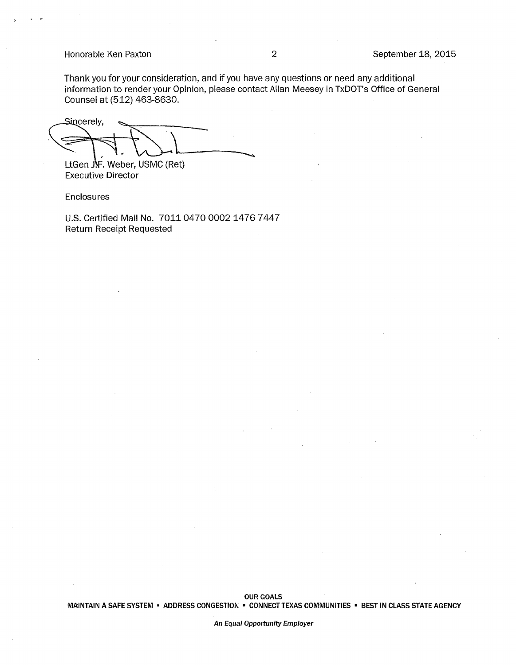### Honorable Ken Paxton 2 September 18, 2015

Thank you for your consideration, and if you have any questions or need any additional information to render your Opinion, please contact Allan Meesey in TxDOT's Office of General Counsel at (512) 463-8630.

Sincerely, LtGen  $\mathbf{I}$ . Weber, USMC (Ret)

Executive Director

Enclosures

U.S. Certified Mail No. 7011 0470 0002 1476 7447 Return Receipt Requested

An Equal Opportunity Employer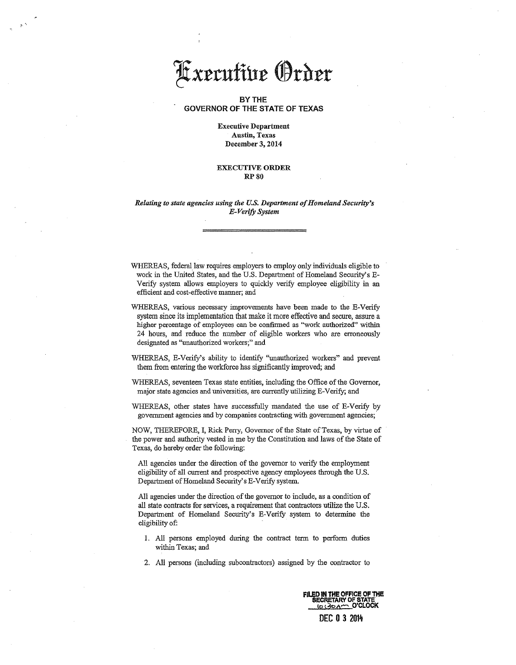## Axecutive Order

#### BY THE GOVERNOR OF THE STATE OF TEXAS

#### Executive Department Austin, Texas December 3, 2014

#### EXECUTIVE ORDER RP80

#### *Relating to state agencies using the U.S. Department of Homeland Security's E-Verif.y System*

WHEREAS, federal law requires employers to employ only individuals eligible to work in the United States, and the U.S. Department of Homeland Security's E-Verify system allows employers to quickly verify employee eligibility in an efficient and cost-effective manner; and

WHEREAS, various necessary improvements have been made to the E-Verify system since its implementation that make it more effective and secure, assure a higher percentage of employees can be confirmed as "work authorized" within 24 hours, and reduce the number of eligible workers who are erroneously designated as "unauthorized workers;" and

- WHEREAS, E-Verify's ability to identify ''unauthorized workers" and prevent them from entering the workforce has significantly improved; and
- WHEREAS, seventeen Texas state entities, including the Office of the Governor, major state agencies and universities, are currently utilizing E-Verify; and
- WHEREAS, other states have successfully mandated the use of E-Verify by government agencies and by companies contracting with government agencies;

NOW, THEREFORE, I, Rick Peny, Governor of the State of Texas, by virtue of the power and authority vested in me by the Constitution and laws of the State of Texas, do hereby order the following:

All agencies under the direction of the governor to verify the employment eligibility of all current and prospective agency employees through the U.S. Department of Homeland Security's E-Verify system.

All agencies under the direction of the governor to include, as a condition of all state contracts for services, a requirement that contractors utilize the U.S. Department of Homeland Security's E-Verify system to determine the eligibility of:

- 1. All persons employed during the contract term to perform duties within Texas; and
- 2. All persons (including subcontractors) assigned by the contractor to

FILED IN THE OFFICE OF THE **SECRETARY OF STAT** <u>lek Zo Ama</u> O'CLOCK DEC 0 3 2014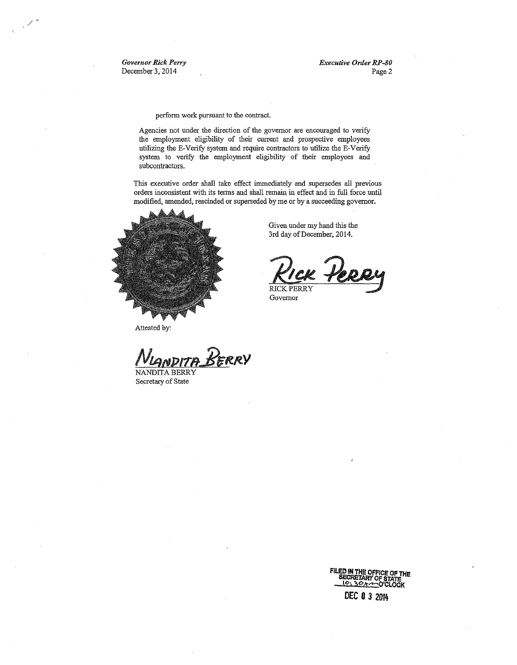*Governor Rick Perry*  December 3, 2014

*Executive Order RP-80*  Page 2

perform work pursuant to the contract.

Agencies not under the direction of the governor are encouraged to verify the employment eligibility of their current and prospective employees utilizing the E-Verify system and require contractors to utilize the E-Verify system to verify the employment eligibility of their employees and subcontractors.

This executive order shall take effect immediately and supersedes all previous orders inconsistent with its terms and shall remain in effect and in full force until modified, amended, rescinded or superseded by me or by a succeeding governor.

> Given under my hand this the 3rd day of December, 2014.

> > VICK PERRY

Governor

**RICK PERRY** 



Attested by:

*N1BHP1Te.-1t1tl'.Y* 

NANDITA BERRY Secretary of State

> **FILED IN THE OFFICE OF THE<br>SECRETARY OF STATE<br>QUEL SOACOOK DEC 0** *3* **2014**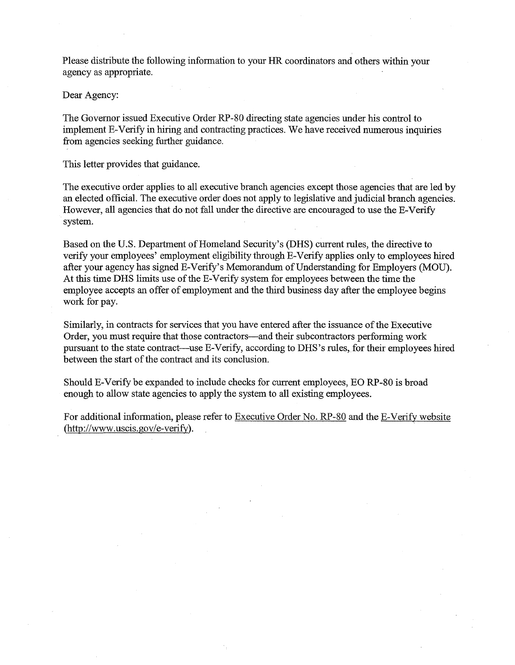Please distribute the following information to your HR coordinators and others within your agency as appropriate.

Dear Agency:

The Governor issued Executive Order RP-80 directing state agencies under his control to implement E-V erify in hiring and contracting practices. We have received numerous inquiries from agencies seeking further guidance.

This letter provides that guidance.

The executive order applies to all executive branch agencies except those agencies that are led by an elected official. The executive order does not apply to legislative and judicial branch agencies. However, all agencies that do not fall under the directive are encouraged to use the E-Verify system.

Based on the U.S. Department of Homeland Security's (DRS) current rules, the directive to verify your employees' employment eligibility through E-Verify applies only to employees hired after your agency has signed E-Verify's Memorandum of Understanding for Employers (MOU). At this time DRS limits use of the E-Verify system for employees between the time the employee accepts an offer of employment and the third business day after the employee begins work for pay.

Similarly, in contracts for services that you have entered after the issuance of the Executive Order, you must require that those contractors-and their subcontractors performing work pursuant to the state contract—use E-Verify, according to DHS's rules, for their employees hired between the start of the contract and its conclusion.

Should E-Verify be expanded to include checks for current employees, EO RP-80 is broad enough to allow state agencies to apply the system to all existing employees.

For additional information, please refer to Executive Order No. RP-80 and the E-Verify website (http://www.uscis.gov/e-verify).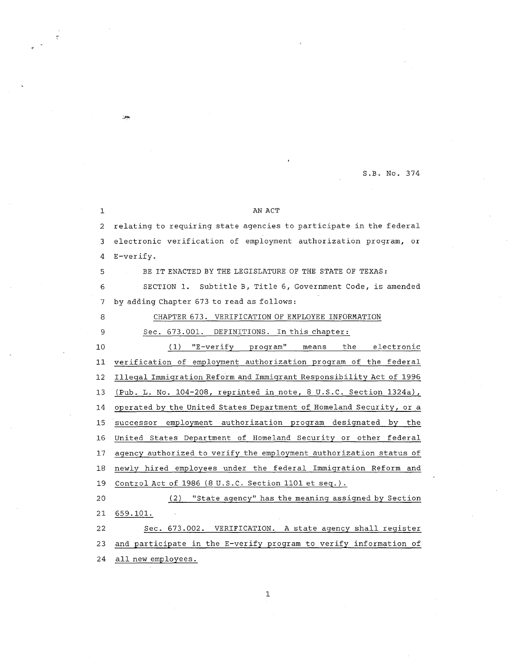S.B. No. 374

#### 1 AN ACT

2 relating to requiring state agencies to participate in the federal 3 electronic verification of employment authorization program, or 4 E-verify.

5 BE IT ENACTED BY THE LEGISLATURE OF THE STATE OF TEXAS:

6 SECTION 1. Subtitle B, Title 6, Government Code, is amended 7 by adding Chapter 673 to read as follows:

8 CHAPTER 673. VERIFICATION OF EMPLOYEE INFORMATION

يجزز

#### 9 Sec. 673.001. DEFINITIONS. In this chapter:

10 ( 1) "E-ver ify program" means the electronic 11 verification of employment authorization program of the federal 12 Illegal Immigration Reform and Immigrant Responsibility Act of 1996 13 (Pub. L. No. 104-208, reprinted in note, 8 U.S.C. Section 1324a), 14 operated by the United States Department of Homeland Security, or a 15 successor employment authorization program designated by the 16 United States Department of Homeland Security or other federal 17 agency authorized to verify the employment authorization status of 18 newly hired employees under the federal Immigration Reform and 19 Control Act of 1986 (8 U.S.C. Section 1101 et seq.). 20 ( 2) "State agency" has the meaning assigned by Section

21 659.101.

22 Sec. 673.002. VERIFICATION. A state agency shall register 23 and participate in the E-verify program to verify information of 24 all new employees.